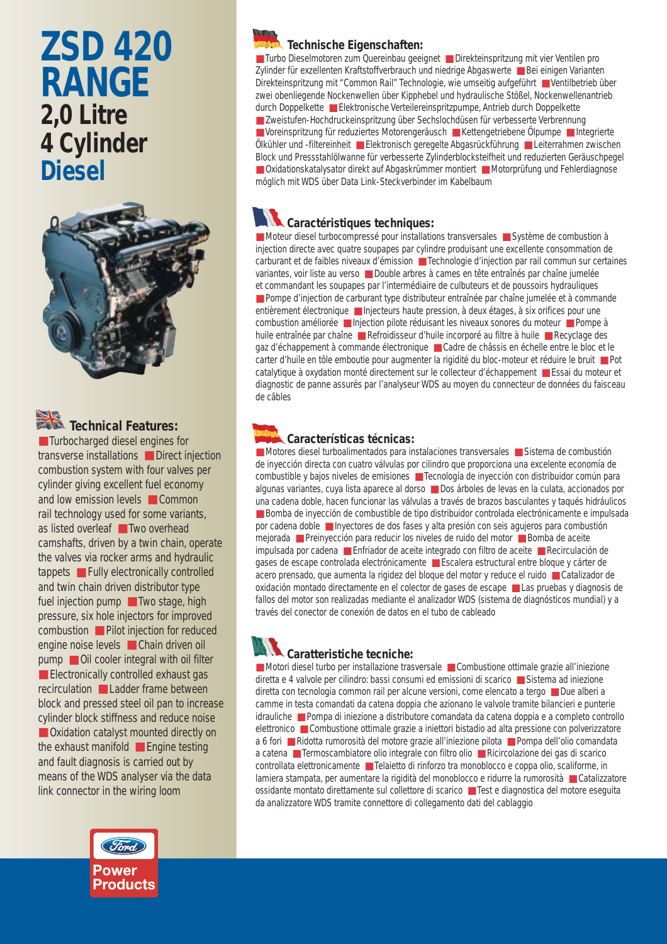# **ZSD 420 RANGE 2,0 Litre 4 Cylinder Diesel**



# Technical Features:

■ Turbocharged diesel engines for transverse installations ■ Direct injection combustion system with four valves per cylinder giving excellent fuel economy and low emission levels ■ Common rail technology used for some variants, as listed overleaf ■ Two overhead camshafts, driven by a twin chain, operate the valves via rocker arms and hydraulic tappets ■ Fully electronically controlled and twin chain driven distributor type fuel injection pump ■ Two stage, high pressure, six hole injectors for improved combustion ■ Pilot injection for reduced engine noise levels ■ Chain driven oil pump **D** Oil cooler integral with oil filter ■ Electronically controlled exhaust gas recirculation ■ Ladder frame between block and pressed steel oil pan to increase cylinder block stiffness and reduce noise ■ Oxidation catalyst mounted directly on the exhaust manifold ■ Engine testing and fault diagnosis is carried out by means of the WDS analyser via the data link connector in the wiring loom



■ Turbo Dieselmotoren zum Quereinbau geeignet ■ Direkteinspritzung mit vier Ventilen pro Zylinder für exzellenten Kraftstoffverbrauch und niedrige Abgaswerte ■ Bei einigen Varianten Direkteinspritzung mit "Common Rail" Technologie, wie umseitig aufgeführt ■ Ventilbetrieb über zwei obenliegende Nockenwellen über Kipphebel und hydraulische Stößel, Nockenwellenantrieb durch Doppelkette ■ Elektronische Verteilereinspritzpumpe, Antrieb durch Doppelkette ■ Zweistufen-Hochdruckeinspritzung über Sechslochdüsen für verbesserte Verbrennung ■ Voreinspritzung für reduziertes Motorengeräusch ■ Kettengetriebene Ölpumpe ■ Integrierte Ölkühler und -filtereinheit ■ Elektronisch geregelte Abgasrückführung ■ Leiterrahmen zwischen Block und Pressstahlölwanne für verbesserte Zylinderblocksteifheit und reduzierten Geräuschpegel ■ Oxidationskatalysator direkt auf Abgaskrümmer montiert ■ Motorprüfung und Fehlerdiagnose möglich mit WDS über Data Link-Steckverbinder im Kabelbaum

### **Caractéristiques techniques:**

■ Moteur diesel turbocompressé pour installations transversales ■ Système de combustion à injection directe avec quatre soupapes par cylindre produisant une excellente consommation de carburant et de faibles niveaux d'émission ■ Technologie d'injection par rail commun sur certaines variantes, voir liste au verso ■ Double arbres à cames en tête entraînés par chaîne jumelée et commandant les soupapes par l'intermédiaire de culbuteurs et de poussoirs hydrauliques ■ Pompe d'injection de carburant type distributeur entraînée par chaîne jumelée et à commande entièrement électronique ■ Injecteurs haute pression, à deux étages, à six orifices pour une combustion améliorée ■ Injection pilote réduisant les niveaux sonores du moteur ■ Pompe à huile entraînée par chaîne ■ Refroidisseur d'huile incorporé au filtre à huile ■ Recyclage des gaz d'échappement à commande électronique ■ Cadre de châssis en échelle entre le bloc et le carter d'huile en tôle emboutie pour augmenter la rigidité du bloc-moteur et réduire le bruit ■ Pot catalytique à oxydation monté directement sur le collecteur d'échappement ■ Essai du moteur et diagnostic de panne assurés par l'analyseur WDS au moyen du connecteur de données du faisceau de câbles

#### **Características técnicas:**

■ Motores diesel turboalimentados para instalaciones transversales ■ Sistema de combustión de inyección directa con cuatro válvulas por cilindro que proporciona una excelente economía de combustible y bajos niveles de emisiones ■ Tecnología de inyección con distribuidor común para algunas variantes, cuya lista aparece al dorso ■ Dos árboles de levas en la culata, accionados por una cadena doble, hacen funcionar las válvulas a través de brazos basculantes y taqués hidráulicos ■ Bomba de inyección de combustible de tipo distribuidor controlada electrónicamente e impulsada por cadena doble ■ Inyectores de dos fases y alta presión con seis agujeros para combustión mejorada ■ Preinyección para reducir los niveles de ruido del motor ■ Bomba de aceite impulsada por cadena ■ Enfriador de aceite integrado con filtro de aceite ■ Recirculación de gases de escape controlada electrónicamente ■ Escalera estructural entre bloque y cárter de acero prensado, que aumenta la rigidez del bloque del motor y reduce el ruido ■ Catalizador de oxidación montado directamente en el colector de gases de escape ■ Las pruebas y diagnosis de fallos del motor son realizadas mediante el analizador WDS (sistema de diagnósticos mundial) y a través del conector de conexión de datos en el tubo de cableado

## **Caratteristiche tecniche:**

■ Motori diesel turbo per installazione trasversale ■ Combustione ottimale grazie all'iniezione diretta e 4 valvole per cilindro: bassi consumi ed emissioni di scarico ■ Sistema ad iniezione diretta con tecnologia common rail per alcune versioni, come elencato a tergo ■ Due alberi a camme in testa comandati da catena doppia che azionano le valvole tramite bilancieri e punterie idrauliche ■ Pompa di iniezione a distributore comandata da catena doppia e a completo controllo elettronico ■ Combustione ottimale grazie a iniettori bistadio ad alta pressione con polverizzatore a 6 fori ■ Ridotta rumorosità del motore grazie all'iniezione pilota ■ Pompa dell'olio comandata a catena ■ Termoscambiatore olio integrale con filtro olio ■ Ricircolazione dei gas di scarico controllata elettronicamente ■ Telaietto di rinforzo tra monoblocco e coppa olio, scaliforme, in lamiera stampata, per aumentare la rigidità del monoblocco e ridurre la rumorosità ■ Catalizzatore ossidante montato direttamente sul collettore di scarico ■ Test e diagnostica del motore eseguita da analizzatore WDS tramite connettore di collegamento dati del cablaggio